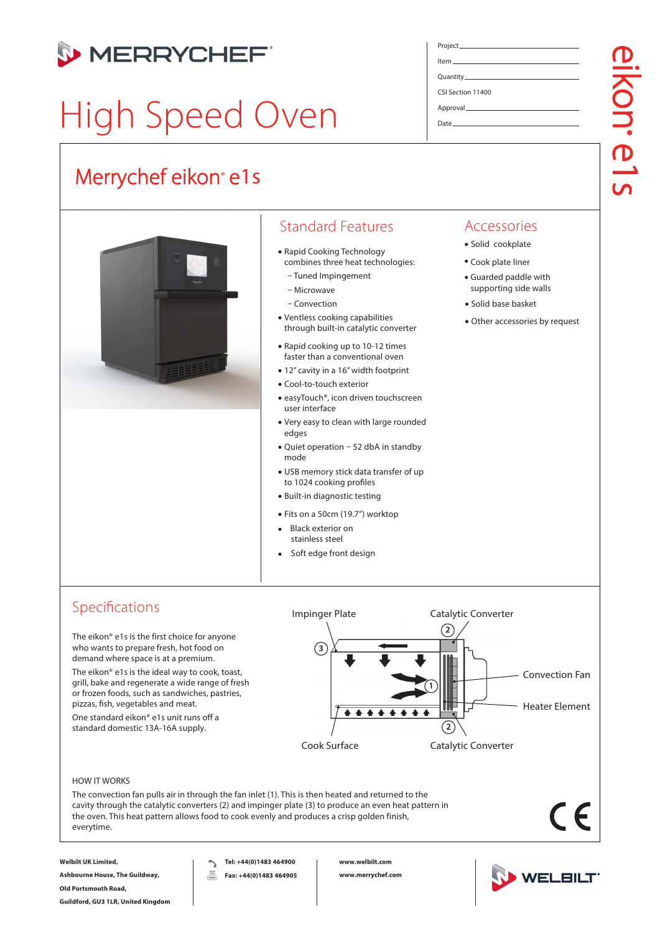

# High Speed Oven

# Merrychef eikon<sup>®</sup> e1s



# Standard Features

- Rapid Cooking Technology combines three heat technologies:
- Tuned Impingement
- Microwave
- Convection
- Ventless cooking capabilities through built-in catalytic converter
- Rapid cooking up to 10-12 times faster than a conventional oven
- 12" cavity in a 16"width footprint
- Cool-to-touch exterior
- easyTouch®, icon driven touchscreen user interface
- Very easy to clean with large rounded edges
- Quiet operation 52 dbA in standby mode
- USB memory stick data transfer of up to 1024 cooking profiles
- Built-in diagnostic testing
- Fits on a 50cm (19.7") worktop
- Black exterior on stainless steel •
- Soft edge front design •

# Project Item Quantity CSI Section 11400 Approval

Date

# Accessories

- Solid cookplate
- Cook plate liner
- Guarded paddle with supporting side walls
- Solid base basket
- Other accessories by request

# Specifications

The eikon® e1s is the first choice for anyone who wants to prepare fresh, hot food on demand where space is at a premium.

The eikon® e1s is the ideal way to cook, toast, grill, bake and regenerate a wide range of fresh or frozen foods, such as sandwiches, pastries, pizzas, fish, vegetables and meat.

One standard eikon® e1s unit runs off a standard domestic 13A-16A supply.



### HOW IT WORKS

The convection fan pulls air in through the fan inlet (1). This is then heated and returned to the cavity through the catalytic converters (2) and impinger plate (3) to produce an even heat pattern in the oven. This heat pattern allows food to cook evenly and produces a crisp golden finish, everytime.

CE

**Welbilt UK Limited,**

**Ashbourne House, The Guildway, Old Portsmouth Road, Guildford, GU3 1LR, United Kingdom**

**Tel: +44(0)1483 464900**  $\hat{\phantom{0}}$ 昌 **Fax: +44(0)1483 464905** **www.welbilt.com www.merrychef.com**